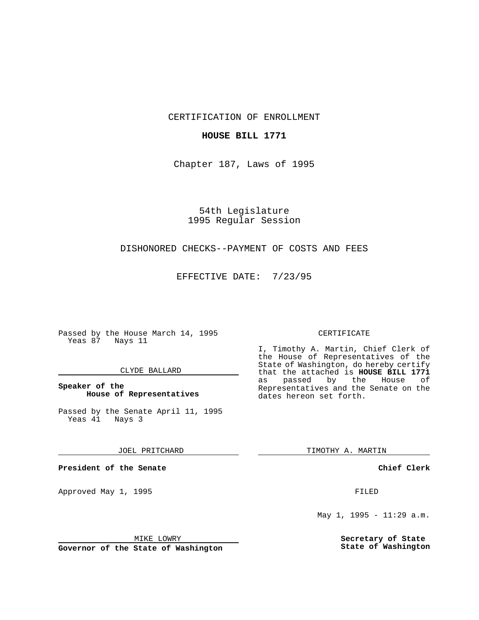CERTIFICATION OF ENROLLMENT

# **HOUSE BILL 1771**

Chapter 187, Laws of 1995

54th Legislature 1995 Regular Session

# DISHONORED CHECKS--PAYMENT OF COSTS AND FEES

EFFECTIVE DATE: 7/23/95

Passed by the House March 14, 1995 Yeas 87 Nays 11

## CLYDE BALLARD

# **Speaker of the House of Representatives**

Passed by the Senate April 11, 1995<br>Yeas 41 Nays 3 Yeas 41

#### JOEL PRITCHARD

**President of the Senate**

Approved May 1, 1995 **FILED** 

## MIKE LOWRY

**Governor of the State of Washington**

#### CERTIFICATE

I, Timothy A. Martin, Chief Clerk of the House of Representatives of the State of Washington, do hereby certify that the attached is **HOUSE BILL 1771** as passed by the Representatives and the Senate on the dates hereon set forth.

TIMOTHY A. MARTIN

## **Chief Clerk**

May 1, 1995 - 11:29 a.m.

**Secretary of State State of Washington**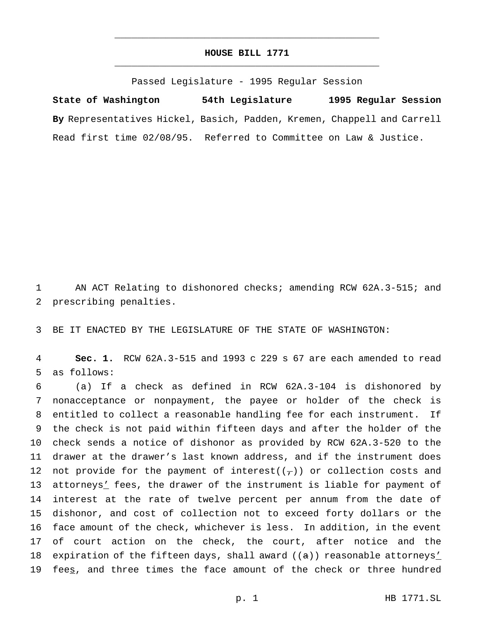# **HOUSE BILL 1771** \_\_\_\_\_\_\_\_\_\_\_\_\_\_\_\_\_\_\_\_\_\_\_\_\_\_\_\_\_\_\_\_\_\_\_\_\_\_\_\_\_\_\_\_\_\_\_

\_\_\_\_\_\_\_\_\_\_\_\_\_\_\_\_\_\_\_\_\_\_\_\_\_\_\_\_\_\_\_\_\_\_\_\_\_\_\_\_\_\_\_\_\_\_\_

Passed Legislature - 1995 Regular Session

**State of Washington 54th Legislature 1995 Regular Session By** Representatives Hickel, Basich, Padden, Kremen, Chappell and Carrell Read first time 02/08/95. Referred to Committee on Law & Justice.

1 AN ACT Relating to dishonored checks; amending RCW 62A.3-515; and 2 prescribing penalties.

3 BE IT ENACTED BY THE LEGISLATURE OF THE STATE OF WASHINGTON:

4 **Sec. 1.** RCW 62A.3-515 and 1993 c 229 s 67 are each amended to read 5 as follows:

 (a) If a check as defined in RCW 62A.3-104 is dishonored by nonacceptance or nonpayment, the payee or holder of the check is entitled to collect a reasonable handling fee for each instrument. If the check is not paid within fifteen days and after the holder of the check sends a notice of dishonor as provided by RCW 62A.3-520 to the drawer at the drawer's last known address, and if the instrument does 12 not provide for the payment of interest( $(\tau)$ ) or collection costs and 13 attorneys' fees, the drawer of the instrument is liable for payment of interest at the rate of twelve percent per annum from the date of dishonor, and cost of collection not to exceed forty dollars or the face amount of the check, whichever is less. In addition, in the event of court action on the check, the court, after notice and the 18 expiration of the fifteen days, shall award  $((a))$  reasonable attorneys' 19 feeg, and three times the face amount of the check or three hundred